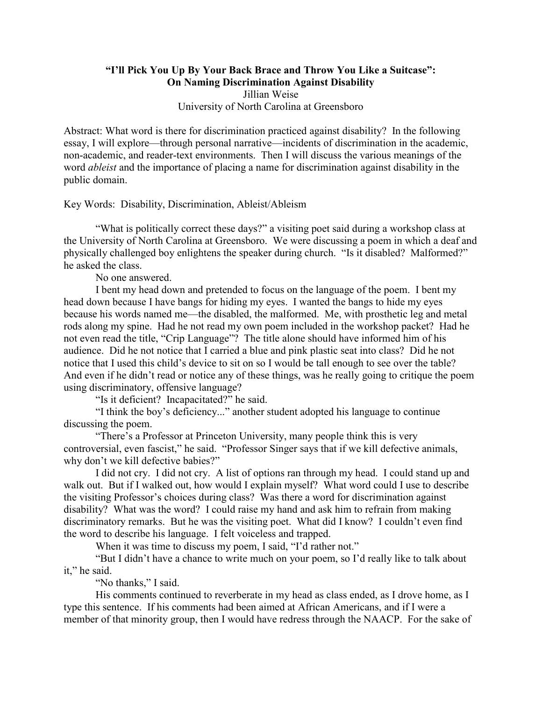## **"I'll Pick You Up By Your Back Brace and Throw You Like a Suitcase": On Naming Discrimination Against Disability**  Jillian Weise

University of North Carolina at Greensboro

Abstract: What word is there for discrimination practiced against disability? In the following essay, I will explore—through personal narrative—incidents of discrimination in the academic, non-academic, and reader-text environments. Then I will discuss the various meanings of the word *ableist* and the importance of placing a name for discrimination against disability in the public domain.

Key Words: Disability, Discrimination, Ableist/Ableism

"What is politically correct these days?" a visiting poet said during a workshop class at the University of North Carolina at Greensboro. We were discussing a poem in which a deaf and physically challenged boy enlightens the speaker during church. "Is it disabled? Malformed?" he asked the class.

No one answered.

 I bent my head down and pretended to focus on the language of the poem. I bent my head down because I have bangs for hiding my eyes. I wanted the bangs to hide my eyes because his words named me—the disabled, the malformed. Me, with prosthetic leg and metal rods along my spine. Had he not read my own poem included in the workshop packet? Had he not even read the title, "Crip Language"? The title alone should have informed him of his audience. Did he not notice that I carried a blue and pink plastic seat into class? Did he not notice that I used this child's device to sit on so I would be tall enough to see over the table? And even if he didn't read or notice any of these things, was he really going to critique the poem using discriminatory, offensive language?

"Is it deficient? Incapacitated?" he said.

 "I think the boy's deficiency..." another student adopted his language to continue discussing the poem.

"There's a Professor at Princeton University, many people think this is very controversial, even fascist," he said. "Professor Singer says that if we kill defective animals, why don't we kill defective babies?"

 I did not cry. I did not cry. A list of options ran through my head. I could stand up and walk out. But if I walked out, how would I explain myself? What word could I use to describe the visiting Professor's choices during class? Was there a word for discrimination against disability? What was the word? I could raise my hand and ask him to refrain from making discriminatory remarks. But he was the visiting poet. What did I know? I couldn't even find the word to describe his language. I felt voiceless and trapped.

When it was time to discuss my poem, I said, "I'd rather not."

 "But I didn't have a chance to write much on your poem, so I'd really like to talk about it," he said.

"No thanks," I said.

His comments continued to reverberate in my head as class ended, as I drove home, as I type this sentence. If his comments had been aimed at African Americans, and if I were a member of that minority group, then I would have redress through the NAACP. For the sake of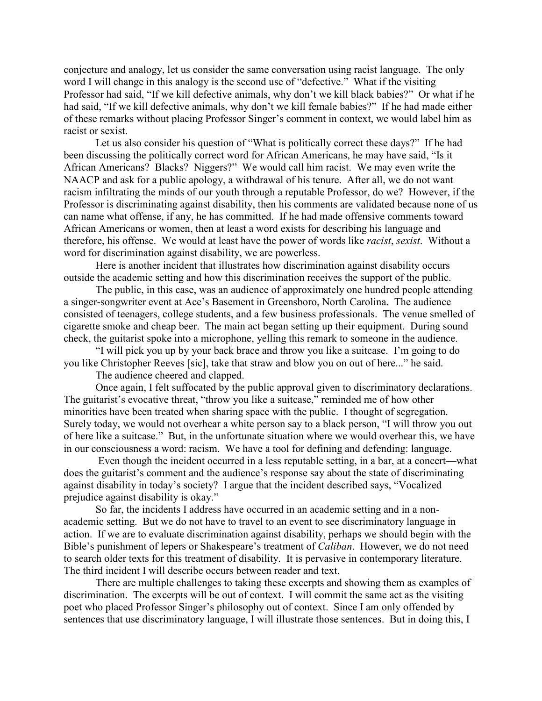conjecture and analogy, let us consider the same conversation using racist language. The only word I will change in this analogy is the second use of "defective." What if the visiting Professor had said, "If we kill defective animals, why don't we kill black babies?" Or what if he had said, "If we kill defective animals, why don't we kill female babies?" If he had made either of these remarks without placing Professor Singer's comment in context, we would label him as racist or sexist.

Let us also consider his question of "What is politically correct these days?" If he had been discussing the politically correct word for African Americans, he may have said, "Is it African Americans? Blacks? Niggers?" We would call him racist. We may even write the NAACP and ask for a public apology, a withdrawal of his tenure. After all, we do not want racism infiltrating the minds of our youth through a reputable Professor, do we? However, if the Professor is discriminating against disability, then his comments are validated because none of us can name what offense, if any, he has committed. If he had made offensive comments toward African Americans or women, then at least a word exists for describing his language and therefore, his offense. We would at least have the power of words like *racist*, *sexist*. Without a word for discrimination against disability, we are powerless.

Here is another incident that illustrates how discrimination against disability occurs outside the academic setting and how this discrimination receives the support of the public.

The public, in this case, was an audience of approximately one hundred people attending a singer-songwriter event at Ace's Basement in Greensboro, North Carolina. The audience consisted of teenagers, college students, and a few business professionals. The venue smelled of cigarette smoke and cheap beer. The main act began setting up their equipment. During sound check, the guitarist spoke into a microphone, yelling this remark to someone in the audience.

"I will pick you up by your back brace and throw you like a suitcase. I'm going to do you like Christopher Reeves [sic], take that straw and blow you on out of here..." he said.

The audience cheered and clapped.

Once again, I felt suffocated by the public approval given to discriminatory declarations. The guitarist's evocative threat, "throw you like a suitcase," reminded me of how other minorities have been treated when sharing space with the public. I thought of segregation. Surely today, we would not overhear a white person say to a black person, "I will throw you out of here like a suitcase." But, in the unfortunate situation where we would overhear this, we have in our consciousness a word: racism. We have a tool for defining and defending: language.

 Even though the incident occurred in a less reputable setting, in a bar, at a concert—what does the guitarist's comment and the audience's response say about the state of discriminating against disability in today's society? I argue that the incident described says, "Vocalized prejudice against disability is okay."

 So far, the incidents I address have occurred in an academic setting and in a nonacademic setting. But we do not have to travel to an event to see discriminatory language in action. If we are to evaluate discrimination against disability, perhaps we should begin with the Bible's punishment of lepers or Shakespeare's treatment of *Caliban*. However, we do not need to search older texts for this treatment of disability. It is pervasive in contemporary literature. The third incident I will describe occurs between reader and text.

 There are multiple challenges to taking these excerpts and showing them as examples of discrimination. The excerpts will be out of context. I will commit the same act as the visiting poet who placed Professor Singer's philosophy out of context. Since I am only offended by sentences that use discriminatory language, I will illustrate those sentences. But in doing this, I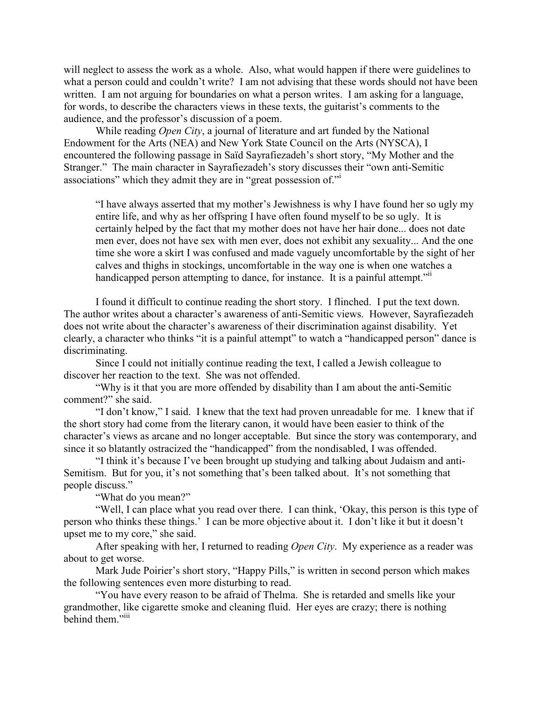will neglect to assess the work as a whole. Also, what would happen if there were guidelines to what a person could and couldn't write? I am not advising that these words should not have been written. I am not arguing for boundaries on what a person writes. I am asking for a language, for words, to describe the characters views in these texts, the guitarist's comments to the audience, and the professor's discussion of a poem.

 While reading *Open City*, a journal of literature and art funded by the National Endowment for the Arts (NEA) and New York State Council on the Arts (NYSCA), I encountered the following passage in Saïd Sayrafiezadeh's short story, "My Mother and the Stranger." The main character in Sayrafiezadeh's story discusses their "own anti-Semitic associations" which they admit they are in "great possession of."<sup>i</sup>

"I have always asserted that my mother's Jewishness is why I have found her so ugly my entire life, and why as her offspring I have often found myself to be so ugly. It is certainly helped by the fact that my mother does not have her hair done... does not date men ever, does not have sex with men ever, does not exhibit any sexuality... And the one time she wore a skirt I was confused and made vaguely uncomfortable by the sight of her calves and thighs in stockings, uncomfortable in the way one is when one watches a handicapped person attempting to dance, for instance. It is a painful attempt."ii

 I found it difficult to continue reading the short story. I flinched. I put the text down. The author writes about a character's awareness of anti-Semitic views. However, Sayrafiezadeh does not write about the character's awareness of their discrimination against disability. Yet clearly, a character who thinks "it is a painful attempt" to watch a "handicapped person" dance is discriminating.

Since I could not initially continue reading the text, I called a Jewish colleague to discover her reaction to the text. She was not offended.

"Why is it that you are more offended by disability than I am about the anti-Semitic comment?" she said.

 "I don't know," I said. I knew that the text had proven unreadable for me. I knew that if the short story had come from the literary canon, it would have been easier to think of the character's views as arcane and no longer acceptable. But since the story was contemporary, and since it so blatantly ostracized the "handicapped" from the nondisabled, I was offended.

 "I think it's because I've been brought up studying and talking about Judaism and anti-Semitism. But for you, it's not something that's been talked about. It's not something that people discuss."

"What do you mean?"

"Well, I can place what you read over there. I can think, 'Okay, this person is this type of person who thinks these things.' I can be more objective about it. I don't like it but it doesn't upset me to my core," she said.

After speaking with her, I returned to reading *Open City*. My experience as a reader was about to get worse.

Mark Jude Poirier's short story, "Happy Pills," is written in second person which makes the following sentences even more disturbing to read.

"You have every reason to be afraid of Thelma. She is retarded and smells like your grandmother, like cigarette smoke and cleaning fluid. Her eyes are crazy; there is nothing behind them<sup>""</sup>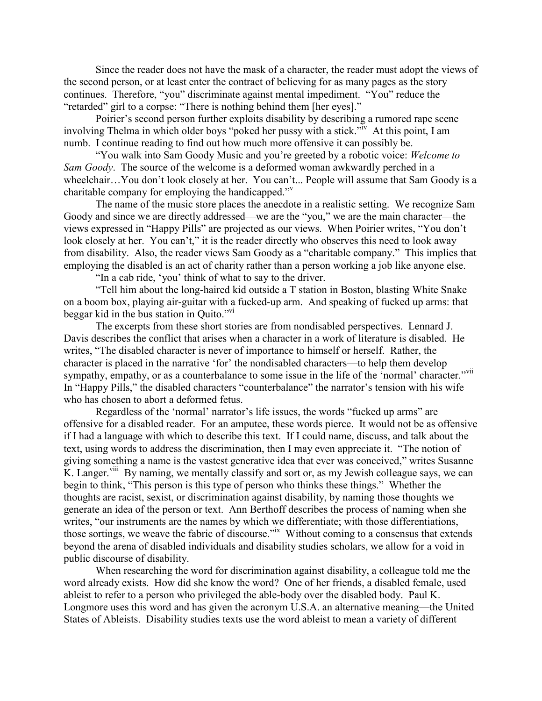Since the reader does not have the mask of a character, the reader must adopt the views of the second person, or at least enter the contract of believing for as many pages as the story continues. Therefore, "you" discriminate against mental impediment. "You" reduce the "retarded" girl to a corpse: "There is nothing behind them [her eyes]."

 Poirier's second person further exploits disability by describing a rumored rape scene involving Thelma in which older boys "poked her pussy with a stick."<sup>Iv</sup> At this point, I am numb. I continue reading to find out how much more offensive it can possibly be.

"You walk into Sam Goody Music and you're greeted by a robotic voice: *Welcome to Sam Goody*. The source of the welcome is a deformed woman awkwardly perched in a wheelchair…You don't look closely at her. You can't... People will assume that Sam Goody is a charitable company for employing the handicapped."

The name of the music store places the anecdote in a realistic setting. We recognize Sam Goody and since we are directly addressed—we are the "you," we are the main character—the views expressed in "Happy Pills" are projected as our views. When Poirier writes, "You don't look closely at her. You can't," it is the reader directly who observes this need to look away from disability. Also, the reader views Sam Goody as a "charitable company." This implies that employing the disabled is an act of charity rather than a person working a job like anyone else.

"In a cab ride, 'you' think of what to say to the driver.

"Tell him about the long-haired kid outside a T station in Boston, blasting White Snake on a boom box, playing air-guitar with a fucked-up arm. And speaking of fucked up arms: that beggar kid in the bus station in Quito."<sup>vi</sup>

 The excerpts from these short stories are from nondisabled perspectives. Lennard J. Davis describes the conflict that arises when a character in a work of literature is disabled. He writes, "The disabled character is never of importance to himself or herself. Rather, the character is placed in the narrative 'for' the nondisabled characters—to help them develop sympathy, empathy, or as a counterbalance to some issue in the life of the 'normal' character."<sup>vii</sup> In "Happy Pills," the disabled characters "counterbalance" the narrator's tension with his wife who has chosen to abort a deformed fetus.

 Regardless of the 'normal' narrator's life issues, the words "fucked up arms" are offensive for a disabled reader. For an amputee, these words pierce. It would not be as offensive if I had a language with which to describe this text. If I could name, discuss, and talk about the text, using words to address the discrimination, then I may even appreciate it. "The notion of giving something a name is the vastest generative idea that ever was conceived," writes Susanne K. Langer.<sup>viii</sup> By naming, we mentally classify and sort or, as my Jewish colleague says, we can begin to think, "This person is this type of person who thinks these things." Whether the thoughts are racist, sexist, or discrimination against disability, by naming those thoughts we generate an idea of the person or text. Ann Berthoff describes the process of naming when she writes, "our instruments are the names by which we differentiate; with those differentiations, those sortings, we weave the fabric of discourse."<sup>ix</sup> Without coming to a consensus that extends beyond the arena of disabled individuals and disability studies scholars, we allow for a void in public discourse of disability.

When researching the word for discrimination against disability, a colleague told me the word already exists. How did she know the word? One of her friends, a disabled female, used ableist to refer to a person who privileged the able-body over the disabled body. Paul K. Longmore uses this word and has given the acronym U.S.A. an alternative meaning—the United States of Ableists. Disability studies texts use the word ableist to mean a variety of different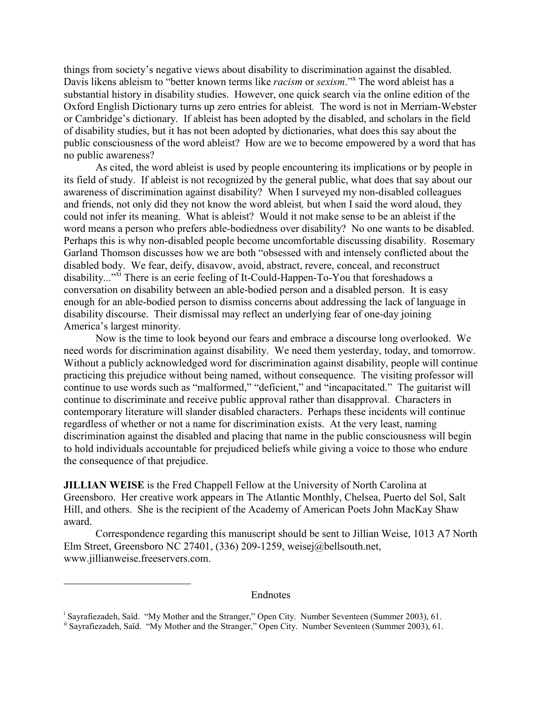things from society's negative views about disability to discrimination against the disabled. Davis likens ableism to "better known terms like *racism* or *sexism*."<sup>x</sup> The word ableist has a substantial history in disability studies. However, one quick search via the online edition of the Oxford English Dictionary turns up zero entries for ableist*.* The word is not in Merriam-Webster or Cambridge's dictionary. If ableist has been adopted by the disabled, and scholars in the field of disability studies, but it has not been adopted by dictionaries, what does this say about the public consciousness of the word ableist? How are we to become empowered by a word that has no public awareness?

As cited, the word ableist is used by people encountering its implications or by people in its field of study. If ableist is not recognized by the general public, what does that say about our awareness of discrimination against disability? When I surveyed my non-disabled colleagues and friends, not only did they not know the word ableist*,* but when I said the word aloud, they could not infer its meaning. What is ableist? Would it not make sense to be an ableist if the word means a person who prefers able-bodiedness over disability? No one wants to be disabled. Perhaps this is why non-disabled people become uncomfortable discussing disability. Rosemary Garland Thomson discusses how we are both "obsessed with and intensely conflicted about the disabled body. We fear, deify, disavow, avoid, abstract, revere, conceal, and reconstruct disability..."<sup>xi</sup> There is an eerie feeling of It-Could-Happen-To-You that foreshadows a conversation on disability between an able-bodied person and a disabled person. It is easy enough for an able-bodied person to dismiss concerns about addressing the lack of language in disability discourse. Their dismissal may reflect an underlying fear of one-day joining America's largest minority.

Now is the time to look beyond our fears and embrace a discourse long overlooked. We need words for discrimination against disability. We need them yesterday, today, and tomorrow. Without a publicly acknowledged word for discrimination against disability, people will continue practicing this prejudice without being named, without consequence. The visiting professor will continue to use words such as "malformed," "deficient," and "incapacitated." The guitarist will continue to discriminate and receive public approval rather than disapproval. Characters in contemporary literature will slander disabled characters. Perhaps these incidents will continue regardless of whether or not a name for discrimination exists. At the very least, naming discrimination against the disabled and placing that name in the public consciousness will begin to hold individuals accountable for prejudiced beliefs while giving a voice to those who endure the consequence of that prejudice.

**JILLIAN WEISE** is the Fred Chappell Fellow at the University of North Carolina at Greensboro. Her creative work appears in The Atlantic Monthly, Chelsea, Puerto del Sol, Salt Hill, and others. She is the recipient of the Academy of American Poets John MacKay Shaw award.

Correspondence regarding this manuscript should be sent to Jillian Weise, 1013 A7 North Elm Street, Greensboro NC 27401, (336) 209-1259, weisej@bellsouth.net, www.jillianweise.freeservers.com.

## Endnotes

-

<sup>&</sup>lt;sup>i</sup> Sayrafiezadeh, Saïd. "My Mother and the Stranger," Open City. Number Seventeen (Summer 2003), 61.

ii Sayrafiezadeh, Saïd. "My Mother and the Stranger," Open City. Number Seventeen (Summer 2003), 61.